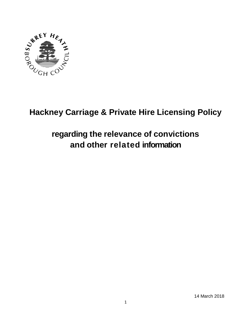

# **Hackney Carriage & Private Hire Licensing Policy**

# **regarding the relevance of convictions and other related information**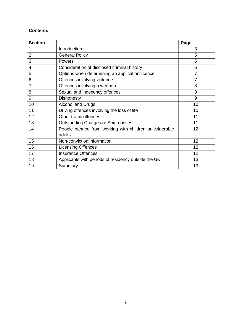# **Contents**

| <b>Section</b> |                                                        | Page            |
|----------------|--------------------------------------------------------|-----------------|
|                | Introduction                                           | 3               |
| $\overline{2}$ | <b>General Policy</b>                                  | 5               |
| 3              | Powers                                                 | 5               |
| 4              | Consideration of disclosed criminal history            | 6               |
| 5              | Options when determining an application/licence        | 7               |
| 6              | Offences involving violence                            | 7               |
| $\overline{7}$ | Offences involving a weapon                            | 8               |
| 8              | Sexual and indecency offences                          | 8               |
| 9              | <b>Dishonesty</b>                                      | 9               |
| 10             | <b>Alcohol and Drugs</b>                               | 10              |
| 11             | Driving offences involving the loss of life            | 10              |
| 12             | Other traffic offences                                 | 11              |
| 13             | <b>Outstanding Charges or Summonses</b>                | 11              |
| 14             | People banned from working with children or vulnerable | 12              |
|                | adults                                                 |                 |
| 15             | Non-conviction information                             | 12              |
| 16             | <b>Licensing Offences</b>                              | 12              |
| 17             | <b>Insurance Offences</b>                              | 12 <sup>2</sup> |
| 18             | Applicants with periods of residency outside the UK    | 13              |
| 19             | Summary                                                | 13              |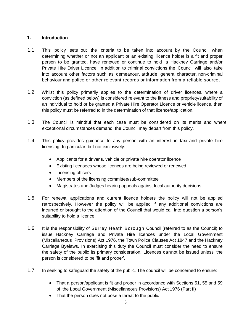## **1. Introduction**

- 1.1 This policy sets out the criteria to be taken into account by the Council when determining whether or not an applicant or an existing licence holder is a fit and proper person to be granted, have renewed or continue to hold a Hackney Carriage and/or Private Hire Driver Licence. In addition to criminal convictions the Council will also take into account other factors such as demeanour, attitude, general character, non-criminal behaviour and police or other relevant records or information from a reliable source.
- 1.2 Whilst this policy primarily applies to the determination of driver licences, where a conviction (as defined below) is considered relevant to the fitness and propriety/suitability of an individual to hold or be granted a Private Hire Operator Licence or vehicle licence, then this policy must be referred to in the determination of that licence/application.
- 1.3 The Council is mindful that each case must be considered on its merits and where exceptional circumstances demand, the Council may depart from this policy.
- 1.4 This policy provides guidance to any person with an interest in taxi and private hire licensing. In particular, but not exclusively:
	- Applicants for a driver's, vehicle or private hire operator licence
	- Existing licensees whose licences are being reviewed or renewed
	- Licensing officers
	- Members of the licensing committee/sub-committee
	- Magistrates and Judges hearing appeals against local authority decisions
- 1.5 For renewal applications and current licence holders the policy will not be applied retrospectively. However the policy will be applied if any additional convictions are incurred or brought to the attention of the Council that would call into question a person's suitability to hold a licence.
- 1.6 It is the responsibility of Surrey Heath Borough Council (referred to as the Council) to issue Hackney Carriage and Private Hire licences under the Local Government (Miscellaneous Provisions) Act 1976, the Town Police Clauses Act 1847 and the Hackney Carriage Byelaws. In exercising this duty the Council must consider the need to ensure the safety of the public its primary consideration. Licences cannot be issued unless the person is considered to be 'fit and proper'.
- 1.7 In seeking to safeguard the safety of the public. The council will be concerned to ensure:
	- That a person/applicant is fit and proper in accordance with Sections 51, 55 and 59 of the Local Government (Miscellaneous Provisions) Act 1976 (Part II)
	- That the person does not pose a threat to the public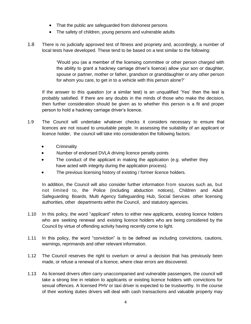- That the public are safeguarded from dishonest persons
- The safety of children, young persons and vulnerable adults
- 1.8 There is no judicially approved test of fitness and propriety and, accordingly, a number of local tests have developed. These tend to be based on a test similar to the following:

'Would you (as a member of the licensing committee or other person charged with the ability to grant a hackney carriage driver's licence) allow your son or daughter, spouse or partner, mother or father, grandson or granddaughter or any other person for whom you care, to get in to a vehicle with this person alone?'

If the answer to this question (or a similar test) is an unqualified 'Yes' then the test is probably satisfied. If there are any doubts in the minds of those who make the decision, then further consideration should be given as to whether this person is a fit and proper person to hold a hackney carriage driver's licence.

- 1.9 The Council will undertake whatever checks it considers necessary to ensure that licences are not issued to unsuitable people. In assessing the suitability of an applicant or licence holder, the council will take into consideration the following factors:
	- **Criminality**
	- Number of endorsed DVLA driving licence penalty points
	- The conduct of the applicant in making the application (e.g. whether they have acted with integrity during the application process).
	- The previous licensing history of existing / former licence holders.

In addition, the Council will also consider further information from sources such as, but not limited to, the Police (including abduction notices), Children and Adult Safeguarding Boards, Multi Agency Safeguarding Hub, Social Services other licensing authorities, other departments within the Council, and statutory agencies.

- 1.10 In this policy, the word "applicant" refers to either new applicants, existing licence holders who are seeking renewal and existing licence holders who are being considered by the Council by virtue of offending activity having recently come to light.
- 1.11 In this policy, the word "conviction" is to be defined as including convictions, cautions, warnings, reprimands and other relevant information.
- 1.12 The Council reserves the right to overturn or annul a decision that has previously been made, or refuse a renewal of a licence, where clear errors are discovered.
- 1.13 As licensed drivers often carry unaccompanied and vulnerable passengers, the council will take a strong line in relation to applicants or existing licence holders with convictions for sexual offences. A licensed PHV or taxi driver is expected to be trustworthy. In the course of their working duties drivers will deal with cash transactions and valuable property may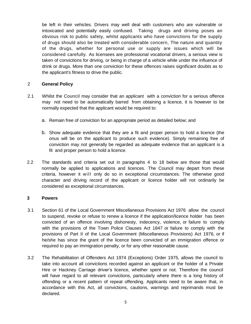be left in their vehicles. Drivers may well deal with customers who are vulnerable or intoxicated and potentially easily confused. Taking drugs and driving poses an obvious risk to public safety, whilst applicants who have convictions for the supply of drugs should also be treated with considerable concern, The nature and quantity of the drugs, whether for personal use or supply are issues which will be considered carefully. As licensees are professional vocational drivers, a serious view is taken of convictions for driving, or being in charge of a vehicle while under the influence of drink or drugs. More than one conviction for these offences raises significant doubts as to the applicant's fitness to drive the public.

## 2 **General Policy**

- 2.1 Whilst the Council may consider that an applicant with a conviction for a serious offence may not need to be automatically barred from obtaining a licence, it is however to be normally expected that the applicant would be required to:
	- a. Remain free of conviction for an appropriate period as detailed below; and
	- b. Show adequate evidence that they are a fit and proper person to hold a licence (the onus will be on the applicant to produce such evidence). Simply remaining free of conviction may not generally be regarded as adequate evidence that an applicant is a fit and proper person to hold a licence.
- 2.2 The standards and criteria set out in paragraphs 4 to 18 below are those that would normally be applied to applications and licences. The Council may depart from these criteria, however it will only do so in exceptional circumstances. The otherwise good character and driving record of the applicant or licence holder will not ordinarily be considered as exceptional circumstances.

### **3 Powers**

- 3.1 Section 61 of the Local Government Miscellaneous Provisions Act 1976 allow the council to suspend, revoke or refuse to renew a licence if the application/licence holder has been convicted of an offence involving dishonesty, indecency, violence, or failure to comply with the provisions of the Town Police Clauses Act 1847 or failure to comply with the provisions of Part II of the Local Government (Miscellaneous Provisions) Act 1976, or if he/she has since the grant of the licence been convicted of an immigration offence or required to pay an immigration penalty, or for any other reasonable cause.
- 3.2 The Rehabilitation of Offenders Act 1974 (Exceptions) Order 1975, allows the council to take into account all convictions recorded against an applicant or the holder of a Private Hire or Hackney Carriage driver's licence, whether spent or not. Therefore the council will have regard to all relevant convictions, particularly where there is a long history of offending or a recent pattern of repeat offending. Applicants need to be aware that, in accordance with this Act, all convictions, cautions, warnings and reprimands must be declared.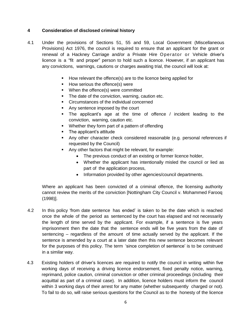### **4 Consideration of disclosed criminal history**

- 4.1 Under the provisions of Sections 51, 55 and 59, Local Government (Miscellaneous Provisions) Act 1976, the council is required to ensure that an applicant for the grant or renewal of a Hackney Carriage and/or a Private Hire Operator or Vehicle driver's licence is a "fit and proper" person to hold such a licence. However, if an applicant has any convictions, warnings, cautions or charges awaiting trial, the council will look at:
	- **How relevant the offence(s) are to the licence being applied for**
	- How serious the offence(s) were
	- **When the offence(s) were committed**
	- **The date of the conviction, warning, caution etc.**
	- **EXEC** Circumstances of the individual concerned
	- Any sentence imposed by the court
	- The applicant's age at the time of offence / incident leading to the conviction, warning, caution etc.
	- Whether they form part of a pattern of offending
	- The applicant's attitude
	- Any other character check considered reasonable (e.g. personal references if requested by the Council)
	- Any other factors that might be relevant, for example:
		- The previous conduct of an existing or former licence holder,
		- Whether the applicant has intentionally misled the council or lied as part of the application process,
		- Information provided by other agencies/council departments.

Where an applicant has been convicted of a criminal offence, the licensing authority cannot review the merits of the conviction [Nottingham City Council v. Mohammed Farooq (1998)].

- 4.2 In this policy 'from date sentence has ended' is taken to be the date which is reached once the whole of the period as sentenced by the court has elapsed and not necessarily the length of time served by the applicant. For example, if a sentence is five years imprisonment then the date that the sentence ends will be five years from the date of sentencing – regardless of the amount of time actually served by the applicant. If the sentence is amended by a court at a later date then this new sentence becomes relevant for the purposes of this policy. The term 'since completion of sentence' is to be construed in a similar way.
- 4.3 Existing holders of driver's licences are required to notify the council in writing within five working days of receiving a driving licence endorsement, fixed penalty notice, warning, reprimand, police caution, criminal conviction or other criminal proceedings (including their acquittal as part of a criminal case). In addition, licence holders must inform the council within 3 working days of their arrest for any matter (whether subsequently charged or not). To fail to do so, will raise serious questions for the Council as to the honesty of the licence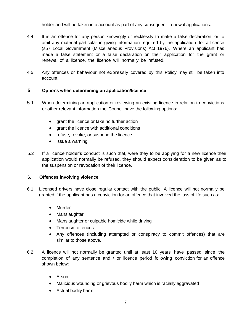holder and will be taken into account as part of any subsequent renewal applications.

- 4.4 It is an offence for any person knowingly or recklessly to make a false declaration or to omit any material particular in giving information required by the application for a licence (s57 Local Government (Miscellaneous Provisions) Act 1976). Where an applicant has made a false statement or a false declaration on their application for the grant or renewal of a licence, the licence will normally be refused.
- 4.5 Any offences or behaviour not expressly covered by this Policy may still be taken into account.

# **5 Options when determining an application/licence**

- 5.1 When determining an application or reviewing an existing licence in relation to convictions or other relevant information the Council have the following options:
	- grant the licence or take no further action
	- grant the licence with additional conditions
	- refuse, revoke, or suspend the licence
	- issue a warning
- 5.2 If a licence holder's conduct is such that, were they to be applying for a new licence their application would normally be refused, they should expect consideration to be given as to the suspension or revocation of their licence.

## **6. Offences involving violence**

- 6.1 Licensed drivers have close regular contact with the public. A licence will not normally be granted if the applicant has a conviction for an offence that involved the loss of life such as:
	- Murder
	- Manslaughter
	- Manslaughter or culpable homicide while driving
	- Terrorism offences
	- Any offences (including attempted or conspiracy to commit offences) that are similar to those above.
- 6.2 A licence will not normally be granted until at least 10 years have passed since the completion of any sentence and / or licence period following conviction for an offence shown below:
	- Arson
	- Malicious wounding or grievous bodily harm which is racially aggravated
	- Actual bodily harm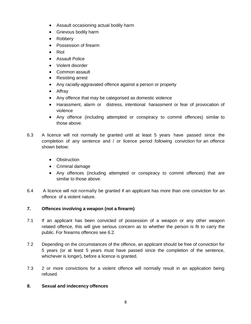- Assault occasioning actual bodily harm
- **•** Grievous bodily harm
- Robbery
- Possession of firearm
- Riot
- Assault Police
- Violent disorder
- Common assault
- Resisting arrest
- Any racially-aggravated offence against a person or property
- Affray
- Any offence that may be categorised as domestic violence
- Harassment, alarm or distress, intentional harassment or fear of provocation of violence
- Any offence (including attempted or conspiracy to commit offences) similar to those above.
- 6.3 A licence will not normally be granted until at least 5 years have passed since the completion of any sentence and / or licence period following conviction for an offence shown below:
	- Obstruction
	- Criminal damage
	- Any offences (including attempted or conspiracy to commit offences) that are similar to those above.
- 6.4 A licence will not normally be granted if an applicant has more than one conviction for an offence of a violent nature.

## **7. Offences involving a weapon (not a firearm)**

- 7.1 If an applicant has been convicted of possession of a weapon or any other weapon related offence, this will give serious concern as to whether the person is fit to carry the public. For firearms offences see 6.2.
- 7.2 Depending on the circumstances of the offence, an applicant should be free of conviction for 5 years (or at least 5 years must have passed since the completion of the sentence, whichever is longer), before a licence is granted.
- 7.3 2 or more convictions for a violent offence will normally result in an application being refused.

## **8. Sexual and indecency offences**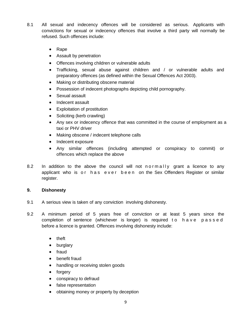- 8.1 All sexual and indecency offences will be considered as serious. Applicants with convictions for sexual or indecency offences that involve a third party will normally be refused. Such offences include:
	- Rape
	- Assault by penetration
	- Offences involving children or vulnerable adults
	- Trafficking, sexual abuse against children and / or vulnerable adults and preparatory offences (as defined within the Sexual Offences Act 2003).
	- Making or distributing obscene material
	- Possession of indecent photographs depicting child pornography.
	- Sexual assault
	- Indecent assault
	- Exploitation of prostitution
	- Soliciting (kerb crawling)
	- Any sex or indecency offence that was committed in the course of employment as a taxi or PHV driver
	- Making obscene / indecent telephone calls
	- Indecent exposure
	- Any similar offences (including attempted or conspiracy to commit) or offences which replace the above
- 8.2 In addition to the above the council will not normally grant a licence to any applicant who is or has ever been on the Sex Offenders Register or similar register.

## **9. Dishonesty**

- 9.1 A serious view is taken of any conviction involving dishonesty.
- 9.2 A minimum period of 5 years free of conviction or at least 5 years since the completion of sentence (whichever is longer) is required to have passed before a licence is granted. Offences involving dishonesty include:
	- theft
	- burglary
	- fraud
	- benefit fraud
	- handling or receiving stolen goods
	- forgery
	- conspiracy to defraud
	- false representation
	- obtaining money or property by deception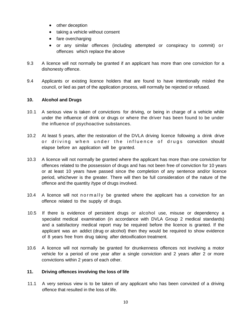- other deception
- taking a vehicle without consent
- fare overcharging
- or any similar offences (including attempted or conspiracy to commit) o r offences which replace the above
- 9.3 A licence will not normally be granted if an applicant has more than one conviction for a dishonesty offence.
- 9.4 Applicants or existing licence holders that are found to have intentionally misled the council, or lied as part of the application process, will normally be rejected or refused.

### **10. Alcohol and Drugs**

- 10.1 A serious view is taken of convictions for driving, or being in charge of a vehicle while under the influence of drink or drugs or where the driver has been found to be under the influence of psychoactive substances.
- 10.2 At least 5 years, after the restoration of the DVLA driving licence following a drink drive or driving when under the influence of drugs conviction should elapse before an application will be granted.
- 10.3 A licence will not normally be granted where the applicant has more than one conviction for offences related to the possession of drugs and has not been free of conviction for 10 years or at least 10 years have passed since the completion of any sentence and/or licence period, whichever is the greater. There will then be full consideration of the nature of the offence and the quantity /type of drugs involved.
- 10.4 A licence will not normally be granted where the applicant has a conviction for an offence related to the supply of drugs.
- 10.5 If there is evidence of persistent drugs or alcohol use, misuse or dependency a specialist medical examination (in accordance with DVLA Group 2 medical standards) and a satisfactory medical report may be required before the licence is granted. If the applicant was an addict (drug or alcohol) then they would be required to show evidence of 8 years free from drug taking after detoxification treatment.
- 10.6 A licence will not normally be granted for drunkenness offences not involving a motor vehicle for a period of one year after a single conviction and 2 years after 2 or more convictions within 2 years of each other.

### **11. Driving offences involving the loss of life**

11.1 A very serious view is to be taken of any applicant who has been convicted of a driving offence that resulted in the loss of life.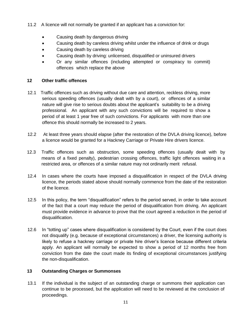- 11.2 A licence will not normally be granted if an applicant has a conviction for:
	- Causing death by dangerous driving
	- Causing death by careless driving whilst under the influence of drink or drugs
	- Causing death by careless driving
	- Causing death by driving: unlicensed, disqualified or uninsured drivers
	- Or any similar offences (including attempted or conspiracy to commit) offences which replace the above

## **12 Other traffic offences**

- 12.1 Traffic offences such as driving without due care and attention, reckless driving, more serious speeding offences (usually dealt with by a court), or offences of a similar nature will give rise to serious doubts about the applicant's suitability to be a driving professional. An applicant with any such convictions will be required to show a period of at least 1 year free of such convictions. For applicants with more than one offence this should normally be increased to 2 years.
- 12.2 At least three years should elapse (after the restoration of the DVLA driving licence), before a licence would be granted for a Hackney Carriage or Private Hire drivers licence.
- 12.3 Traffic offences such as obstruction, some speeding offences (usually dealt with by means of a fixed penalty), pedestrian crossing offences, traffic light offences waiting in a restricted area, or offences of a similar nature may not ordinarily merit refusal.
- 12.4 In cases where the courts have imposed a disqualification in respect of the DVLA driving licence, the periods stated above should normally commence from the date of the restoration of the licence.
- 12.5 In this policy, the term "disqualification" refers to the period served, in order to take account of the fact that a court may reduce the period of disqualification from driving. An applicant must provide evidence in advance to prove that the court agreed a reduction in the period of disqualification.
- 12.6 In "totting up" cases where disqualification is considered by the Court, even if the court does not disqualify (e.g. because of exceptional circumstances) a driver, the licensing authority is likely to refuse a hackney carriage or private hire driver's licence because different criteria apply. An applicant will normally be expected to show a period of 12 months free from conviction from the date the court made its finding of exceptional circumstances justifying the non-disqualification.

## **13 Outstanding Charges or Summonses**

13.1 If the individual is the subject of an outstanding charge or summons their application can continue to be processed, but the application will need to be reviewed at the conclusion of proceedings.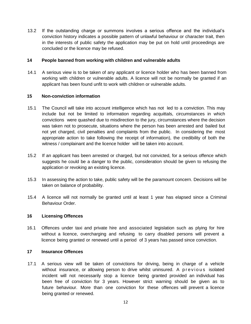13.2 If the outstanding charge or summons involves a serious offence and the individual's conviction history indicates a possible pattern of unlawful behaviour or character trait, then in the interests of public safety the application may be put on hold until proceedings are concluded or the licence may be refused.

#### **14 People banned from working with children and vulnerable adults**

14.1 A serious view is to be taken of any applicant or licence holder who has been banned from working with children or vulnerable adults. A licence will not be normally be granted if an applicant has been found unfit to work with children or vulnerable adults.

#### **15 Non-conviction information**

- 15.1 The Council will take into account intelligence which has not led to a conviction. This may include but not be limited to information regarding acquittals, circumstances in which convictions were quashed due to misdirection to the jury, circumstances where the decision was taken not to prosecute, situations where the person has been arrested and bailed but not yet charged, civil penalties and complaints from the public. In considering the most appropriate action to take following the receipt of information), the credibility of both the witness / complainant and the licence holder will be taken into account.
- 15.2 If an applicant has been arrested or charged, but not convicted, for a serious offence which suggests he could be a danger to the public, consideration should be given to refusing the application or revoking an existing licence.
- 15.3 In assessing the action to take, public safety will be the paramount concern. Decisions will be taken on balance of probability.
- 15.4 A licence will not normally be granted until at least 1 year has elapsed since a Criminal Behaviour Order.

#### **16 Licensing Offences**

16.1 Offences under taxi and private hire and associated legislation such as plying for hire without a licence, overcharging and refusing to carry disabled persons will prevent a licence being granted or renewed until a period of 3 years has passed since conviction.

#### **17 Insurance Offences**

17.1 A serious view will be taken of convictions for driving, being in charge of a vehicle without insurance, or allowing person to drive whilst uninsured. A previous isolated incident will not necessarily stop a licence being granted provided an individual has been free of conviction for 3 years. However strict warning should be given as to future behaviour. More than one conviction for these offences will prevent a licence being granted or renewed.